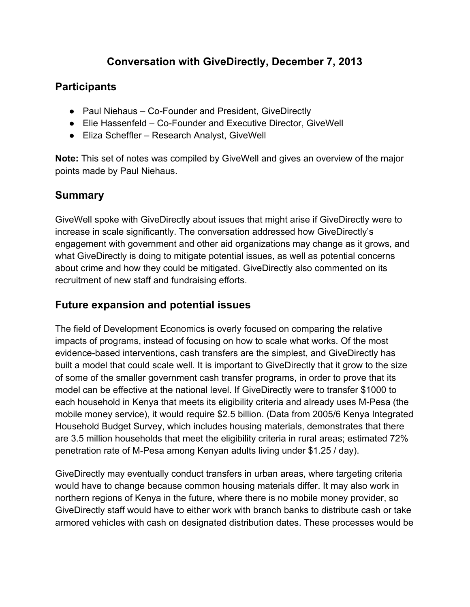# **Conversation with GiveDirectly, December 7, 2013**

## **Participants**

- Paul Niehaus Co-Founder and President, GiveDirectly
- Elie Hassenfeld Co-Founder and Executive Director, GiveWell
- Eliza Scheffler Research Analyst, GiveWell

**Note:** This set of notes was compiled by GiveWell and gives an overview of the major points made by Paul Niehaus.

# **Summary**

GiveWell spoke with GiveDirectly about issues that might arise if GiveDirectly were to increase in scale significantly. The conversation addressed how GiveDirectly's engagement with government and other aid organizations may change as it grows, and what GiveDirectly is doing to mitigate potential issues, as well as potential concerns about crime and how they could be mitigated. GiveDirectly also commented on its recruitment of new staff and fundraising efforts.

# **Future expansion and potential issues**

The field of Development Economics is overly focused on comparing the relative impacts of programs, instead of focusing on how to scale what works. Of the most evidence-based interventions, cash transfers are the simplest, and GiveDirectly has built a model that could scale well. It is important to GiveDirectly that it grow to the size of some of the smaller government cash transfer programs, in order to prove that its model can be effective at the national level. If GiveDirectly were to transfer \$1000 to each household in Kenya that meets its eligibility criteria and already uses M-Pesa (the mobile money service), it would require \$2.5 billion. (Data from 2005/6 Kenya Integrated Household Budget Survey, which includes housing materials, demonstrates that there are 3.5 million households that meet the eligibility criteria in rural areas; estimated 72% penetration rate of M-Pesa among Kenyan adults living under \$1.25 / day).

GiveDirectly may eventually conduct transfers in urban areas, where targeting criteria would have to change because common housing materials differ. It may also work in northern regions of Kenya in the future, where there is no mobile money provider, so GiveDirectly staff would have to either work with branch banks to distribute cash or take armored vehicles with cash on designated distribution dates. These processes would be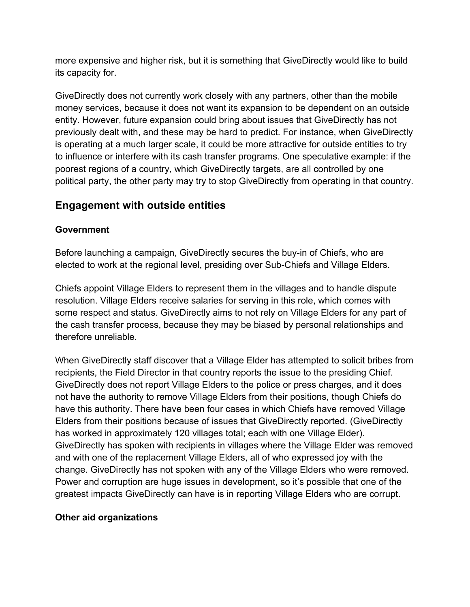more expensive and higher risk, but it is something that GiveDirectly would like to build its capacity for.

GiveDirectly does not currently work closely with any partners, other than the mobile money services, because it does not want its expansion to be dependent on an outside entity. However, future expansion could bring about issues that GiveDirectly has not previously dealt with, and these may be hard to predict. For instance, when GiveDirectly is operating at a much larger scale, it could be more attractive for outside entities to try to influence or interfere with its cash transfer programs. One speculative example: if the poorest regions of a country, which GiveDirectly targets, are all controlled by one political party, the other party may try to stop GiveDirectly from operating in that country.

# **Engagement with outside entities**

#### **Government**

Before launching a campaign, GiveDirectly secures the buy-in of Chiefs, who are elected to work at the regional level, presiding over Sub-Chiefs and Village Elders.

Chiefs appoint Village Elders to represent them in the villages and to handle dispute resolution. Village Elders receive salaries for serving in this role, which comes with some respect and status. GiveDirectly aims to not rely on Village Elders for any part of the cash transfer process, because they may be biased by personal relationships and therefore unreliable.

When GiveDirectly staff discover that a Village Elder has attempted to solicit bribes from recipients, the Field Director in that country reports the issue to the presiding Chief. GiveDirectly does not report Village Elders to the police or press charges, and it does not have the authority to remove Village Elders from their positions, though Chiefs do have this authority. There have been four cases in which Chiefs have removed Village Elders from their positions because of issues that GiveDirectly reported. (GiveDirectly has worked in approximately 120 villages total; each with one Village Elder). GiveDirectly has spoken with recipients in villages where the Village Elder was removed and with one of the replacement Village Elders, all of who expressed joy with the change. GiveDirectly has not spoken with any of the Village Elders who were removed. Power and corruption are huge issues in development, so it's possible that one of the greatest impacts GiveDirectly can have is in reporting Village Elders who are corrupt.

#### **Other aid organizations**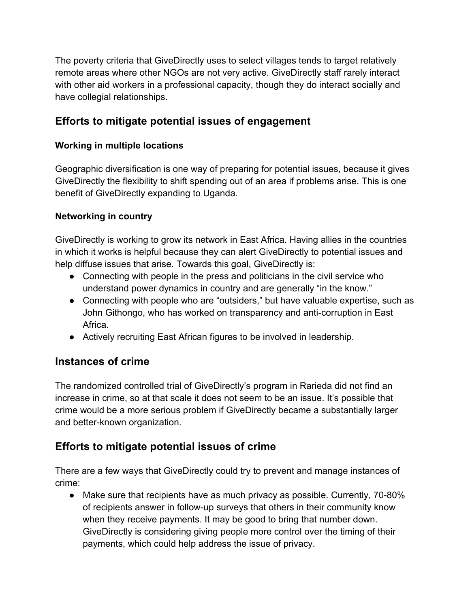The poverty criteria that GiveDirectly uses to select villages tends to target relatively remote areas where other NGOs are not very active. GiveDirectly staff rarely interact with other aid workers in a professional capacity, though they do interact socially and have collegial relationships.

# **Efforts to mitigate potential issues of engagement**

### **Working in multiple locations**

Geographic diversification is one way of preparing for potential issues, because it gives GiveDirectly the flexibility to shift spending out of an area if problems arise. This is one benefit of GiveDirectly expanding to Uganda.

#### **Networking in country**

GiveDirectly is working to grow its network in East Africa. Having allies in the countries in which it works is helpful because they can alert GiveDirectly to potential issues and help diffuse issues that arise. Towards this goal, GiveDirectly is:

- Connecting with people in the press and politicians in the civil service who understand power dynamics in country and are generally "in the know."
- Connecting with people who are "outsiders," but have valuable expertise, such as John Githongo, who has worked on transparency and anti-corruption in East Africa.
- Actively recruiting East African figures to be involved in leadership.

## **Instances of crime**

The randomized controlled trial of GiveDirectly's program in Rarieda did not find an increase in crime, so at that scale it does not seem to be an issue. It's possible that crime would be a more serious problem if GiveDirectly became a substantially larger and better-known organization.

# **Efforts to mitigate potential issues of crime**

There are a few ways that GiveDirectly could try to prevent and manage instances of crime:

● Make sure that recipients have as much privacy as possible. Currently, 70-80% of recipients answer in follow-up surveys that others in their community know when they receive payments. It may be good to bring that number down. GiveDirectly is considering giving people more control over the timing of their payments, which could help address the issue of privacy.